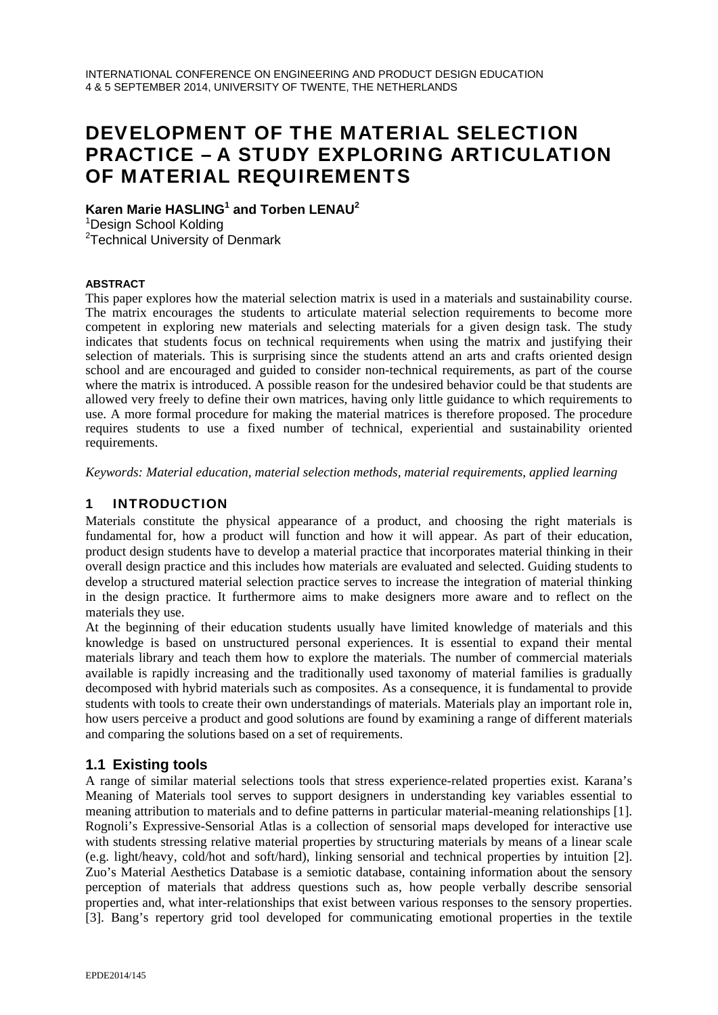# DEVELOPMENT OF THE MATERIAL SELECTION PRACTICE – A STUDY EXPLORING ARTICULATION OF MATERIAL REQUIREMENTS

**Karen Marie HASLING<sup>1</sup> and Torben LENAU<sup>2</sup><br><sup>1</sup> Design School Kolding** 

<sup>1</sup>Design School Kolding

<sup>2</sup>Technical University of Denmark

#### **ABSTRACT**

This paper explores how the material selection matrix is used in a materials and sustainability course. The matrix encourages the students to articulate material selection requirements to become more competent in exploring new materials and selecting materials for a given design task. The study indicates that students focus on technical requirements when using the matrix and justifying their selection of materials. This is surprising since the students attend an arts and crafts oriented design school and are encouraged and guided to consider non-technical requirements, as part of the course where the matrix is introduced. A possible reason for the undesired behavior could be that students are allowed very freely to define their own matrices, having only little guidance to which requirements to use. A more formal procedure for making the material matrices is therefore proposed. The procedure requires students to use a fixed number of technical, experiential and sustainability oriented requirements.

*Keywords: Material education, material selection methods, material requirements, applied learning* 

#### 1 INTRODUCTION

Materials constitute the physical appearance of a product, and choosing the right materials is fundamental for, how a product will function and how it will appear. As part of their education, product design students have to develop a material practice that incorporates material thinking in their overall design practice and this includes how materials are evaluated and selected. Guiding students to develop a structured material selection practice serves to increase the integration of material thinking in the design practice. It furthermore aims to make designers more aware and to reflect on the materials they use.

At the beginning of their education students usually have limited knowledge of materials and this knowledge is based on unstructured personal experiences. It is essential to expand their mental materials library and teach them how to explore the materials. The number of commercial materials available is rapidly increasing and the traditionally used taxonomy of material families is gradually decomposed with hybrid materials such as composites. As a consequence, it is fundamental to provide students with tools to create their own understandings of materials. Materials play an important role in, how users perceive a product and good solutions are found by examining a range of different materials and comparing the solutions based on a set of requirements.

## **1.1 Existing tools**

A range of similar material selections tools that stress experience-related properties exist. Karana's Meaning of Materials tool serves to support designers in understanding key variables essential to meaning attribution to materials and to define patterns in particular material-meaning relationships [1]. Rognoli's Expressive-Sensorial Atlas is a collection of sensorial maps developed for interactive use with students stressing relative material properties by structuring materials by means of a linear scale (e.g. light/heavy, cold/hot and soft/hard), linking sensorial and technical properties by intuition [2]. Zuo's Material Aesthetics Database is a semiotic database, containing information about the sensory perception of materials that address questions such as, how people verbally describe sensorial properties and, what inter-relationships that exist between various responses to the sensory properties. [3]. Bang's repertory grid tool developed for communicating emotional properties in the textile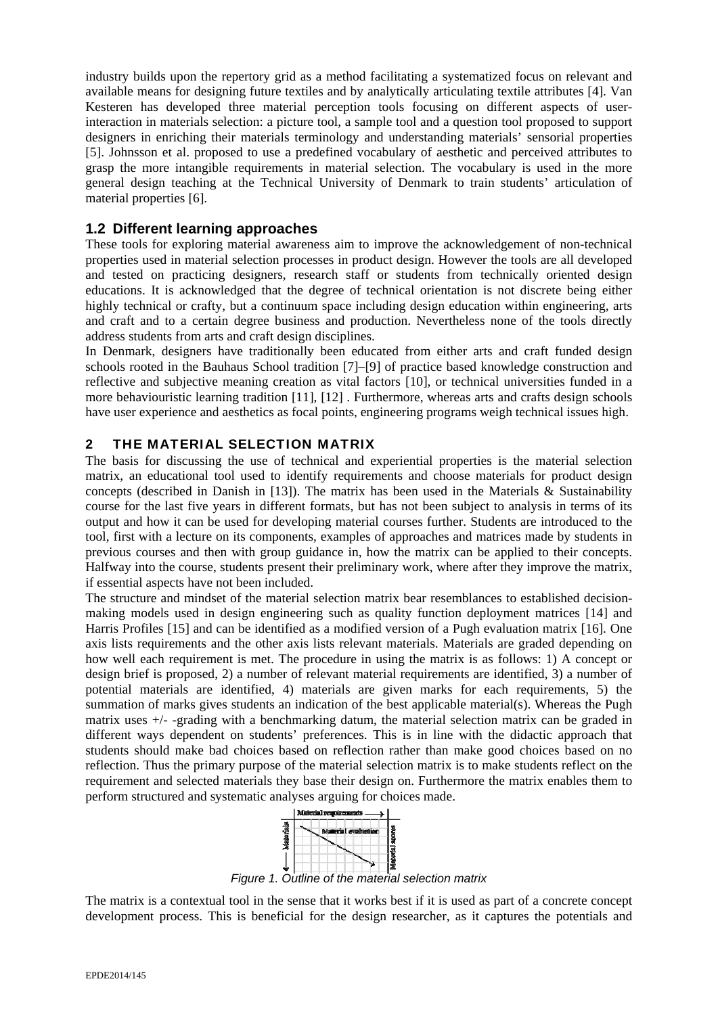industry builds upon the repertory grid as a method facilitating a systematized focus on relevant and available means for designing future textiles and by analytically articulating textile attributes [4]. Van Kesteren has developed three material perception tools focusing on different aspects of userinteraction in materials selection: a picture tool, a sample tool and a question tool proposed to support designers in enriching their materials terminology and understanding materials' sensorial properties [5]. Johnsson et al. proposed to use a predefined vocabulary of aesthetic and perceived attributes to grasp the more intangible requirements in material selection. The vocabulary is used in the more general design teaching at the Technical University of Denmark to train students' articulation of material properties [6].

## **1.2 Different learning approaches**

These tools for exploring material awareness aim to improve the acknowledgement of non-technical properties used in material selection processes in product design. However the tools are all developed and tested on practicing designers, research staff or students from technically oriented design educations. It is acknowledged that the degree of technical orientation is not discrete being either highly technical or crafty, but a continuum space including design education within engineering, arts and craft and to a certain degree business and production. Nevertheless none of the tools directly address students from arts and craft design disciplines.

In Denmark, designers have traditionally been educated from either arts and craft funded design schools rooted in the Bauhaus School tradition [7]–[9] of practice based knowledge construction and reflective and subjective meaning creation as vital factors [10], or technical universities funded in a more behaviouristic learning tradition [11], [12] . Furthermore, whereas arts and crafts design schools have user experience and aesthetics as focal points, engineering programs weigh technical issues high.

# 2 THE MATERIAL SELECTION MATRIX

The basis for discussing the use of technical and experiential properties is the material selection matrix, an educational tool used to identify requirements and choose materials for product design concepts (described in Danish in [13]). The matrix has been used in the Materials  $\&$  Sustainability course for the last five years in different formats, but has not been subject to analysis in terms of its output and how it can be used for developing material courses further. Students are introduced to the tool, first with a lecture on its components, examples of approaches and matrices made by students in previous courses and then with group guidance in, how the matrix can be applied to their concepts. Halfway into the course, students present their preliminary work, where after they improve the matrix, if essential aspects have not been included.

The structure and mindset of the material selection matrix bear resemblances to established decisionmaking models used in design engineering such as quality function deployment matrices [14] and Harris Profiles [15] and can be identified as a modified version of a Pugh evaluation matrix [16]. One axis lists requirements and the other axis lists relevant materials. Materials are graded depending on how well each requirement is met. The procedure in using the matrix is as follows: 1) A concept or design brief is proposed, 2) a number of relevant material requirements are identified, 3) a number of potential materials are identified, 4) materials are given marks for each requirements, 5) the summation of marks gives students an indication of the best applicable material(s). Whereas the Pugh matrix uses +/- -grading with a benchmarking datum, the material selection matrix can be graded in different ways dependent on students' preferences. This is in line with the didactic approach that students should make bad choices based on reflection rather than make good choices based on no reflection. Thus the primary purpose of the material selection matrix is to make students reflect on the requirement and selected materials they base their design on. Furthermore the matrix enables them to perform structured and systematic analyses arguing for choices made.



*Figure 1. Outline of the material selection matrix* 

The matrix is a contextual tool in the sense that it works best if it is used as part of a concrete concept development process. This is beneficial for the design researcher, as it captures the potentials and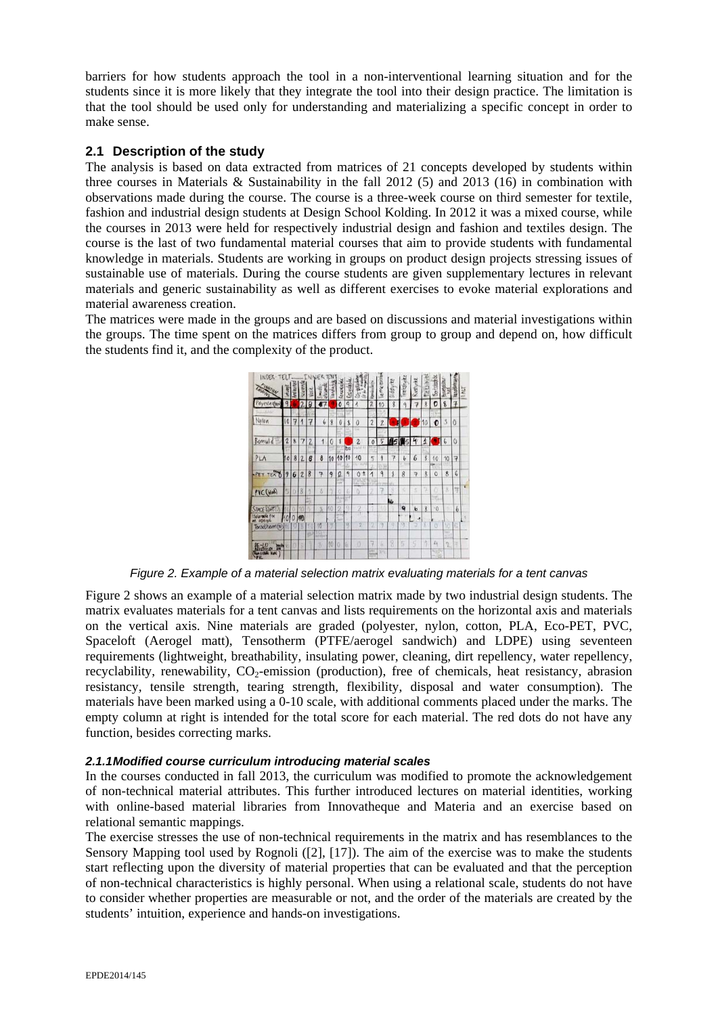barriers for how students approach the tool in a non-interventional learning situation and for the students since it is more likely that they integrate the tool into their design practice. The limitation is that the tool should be used only for understanding and materializing a specific concept in order to make sense.

## **2.1 Description of the study**

The analysis is based on data extracted from matrices of 21 concepts developed by students within three courses in Materials & Sustainability in the fall 2012 (5) and 2013 (16) in combination with observations made during the course. The course is a three-week course on third semester for textile, fashion and industrial design students at Design School Kolding. In 2012 it was a mixed course, while the courses in 2013 were held for respectively industrial design and fashion and textiles design. The course is the last of two fundamental material courses that aim to provide students with fundamental knowledge in materials. Students are working in groups on product design projects stressing issues of sustainable use of materials. During the course students are given supplementary lectures in relevant materials and generic sustainability as well as different exercises to evoke material explorations and material awareness creation.

The matrices were made in the groups and are based on discussions and material investigations within the groups. The time spent on the matrices differs from group to group and depend on, how difficult the students find it, and the complexity of the product.



*Figure 2. Example of a material selection matrix evaluating materials for a tent canvas* 

Figure 2 shows an example of a material selection matrix made by two industrial design students. The matrix evaluates materials for a tent canvas and lists requirements on the horizontal axis and materials on the vertical axis. Nine materials are graded (polyester, nylon, cotton, PLA, Eco-PET, PVC, Spaceloft (Aerogel matt), Tensotherm (PTFE/aerogel sandwich) and LDPE) using seventeen requirements (lightweight, breathability, insulating power, cleaning, dirt repellency, water repellency, recyclability, renewability,  $CO<sub>2</sub>$ -emission (production), free of chemicals, heat resistancy, abrasion resistancy, tensile strength, tearing strength, flexibility, disposal and water consumption). The materials have been marked using a 0-10 scale, with additional comments placed under the marks. The empty column at right is intended for the total score for each material. The red dots do not have any function, besides correcting marks.

## *2.1.1 Modified course curriculum introducing material scales*

In the courses conducted in fall 2013, the curriculum was modified to promote the acknowledgement of non-technical material attributes. This further introduced lectures on material identities, working with online-based material libraries from Innovatheque and Materia and an exercise based on relational semantic mappings.

The exercise stresses the use of non-technical requirements in the matrix and has resemblances to the Sensory Mapping tool used by Rognoli ([2], [17]). The aim of the exercise was to make the students start reflecting upon the diversity of material properties that can be evaluated and that the perception of non-technical characteristics is highly personal. When using a relational scale, students do not have to consider whether properties are measurable or not, and the order of the materials are created by the students' intuition, experience and hands-on investigations.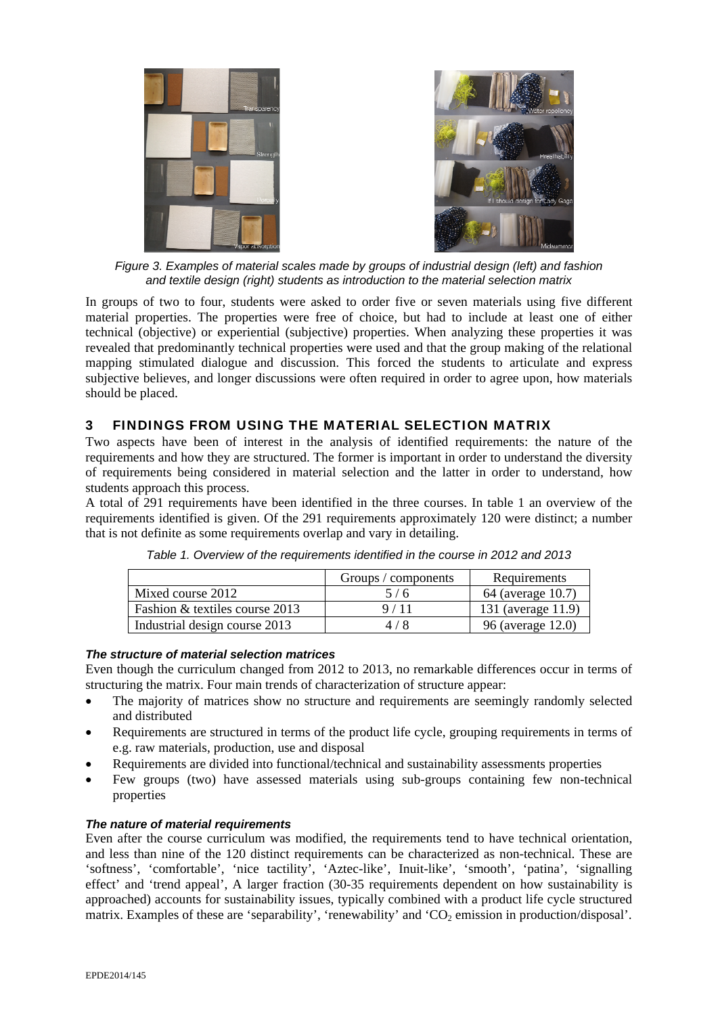



*Figure 3. Examples of material scales made by groups of industrial design (left) and fashion and textile design (right) students as introduction to the material selection matrix* 

In groups of two to four, students were asked to order five or seven materials using five different material properties. The properties were free of choice, but had to include at least one of either technical (objective) or experiential (subjective) properties. When analyzing these properties it was revealed that predominantly technical properties were used and that the group making of the relational mapping stimulated dialogue and discussion. This forced the students to articulate and express subjective believes, and longer discussions were often required in order to agree upon, how materials should be placed.

# 3 FINDINGS FROM USING THE MATERIAL SELECTION MATRIX

Two aspects have been of interest in the analysis of identified requirements: the nature of the requirements and how they are structured. The former is important in order to understand the diversity of requirements being considered in material selection and the latter in order to understand, how students approach this process.

A total of 291 requirements have been identified in the three courses. In table 1 an overview of the requirements identified is given. Of the 291 requirements approximately 120 were distinct; a number that is not definite as some requirements overlap and vary in detailing.

|                                | Groups / components | Requirements       |
|--------------------------------|---------------------|--------------------|
| Mixed course 2012              | 5/6                 | 64 (average 10.7)  |
| Fashion & textiles course 2013 | 9/11                | 131 (average 11.9) |
| Industrial design course 2013  | 47 X                | 96 (average 12.0)  |

*Table 1. Overview of the requirements identified in the course in 2012 and 2013* 

#### *The structure of material selection matrices*

Even though the curriculum changed from 2012 to 2013, no remarkable differences occur in terms of structuring the matrix. Four main trends of characterization of structure appear:

- The majority of matrices show no structure and requirements are seemingly randomly selected and distributed
- Requirements are structured in terms of the product life cycle, grouping requirements in terms of e.g. raw materials, production, use and disposal
- Requirements are divided into functional/technical and sustainability assessments properties
- Few groups (two) have assessed materials using sub-groups containing few non-technical properties

#### *The nature of material requirements*

Even after the course curriculum was modified, the requirements tend to have technical orientation, and less than nine of the 120 distinct requirements can be characterized as non-technical. These are 'softness', 'comfortable', 'nice tactility', 'Aztec-like', Inuit-like', 'smooth', 'patina', 'signalling effect' and 'trend appeal', A larger fraction (30-35 requirements dependent on how sustainability is approached) accounts for sustainability issues, typically combined with a product life cycle structured matrix. Examples of these are 'separability', 'renewability' and 'CO<sub>2</sub> emission in production/disposal'.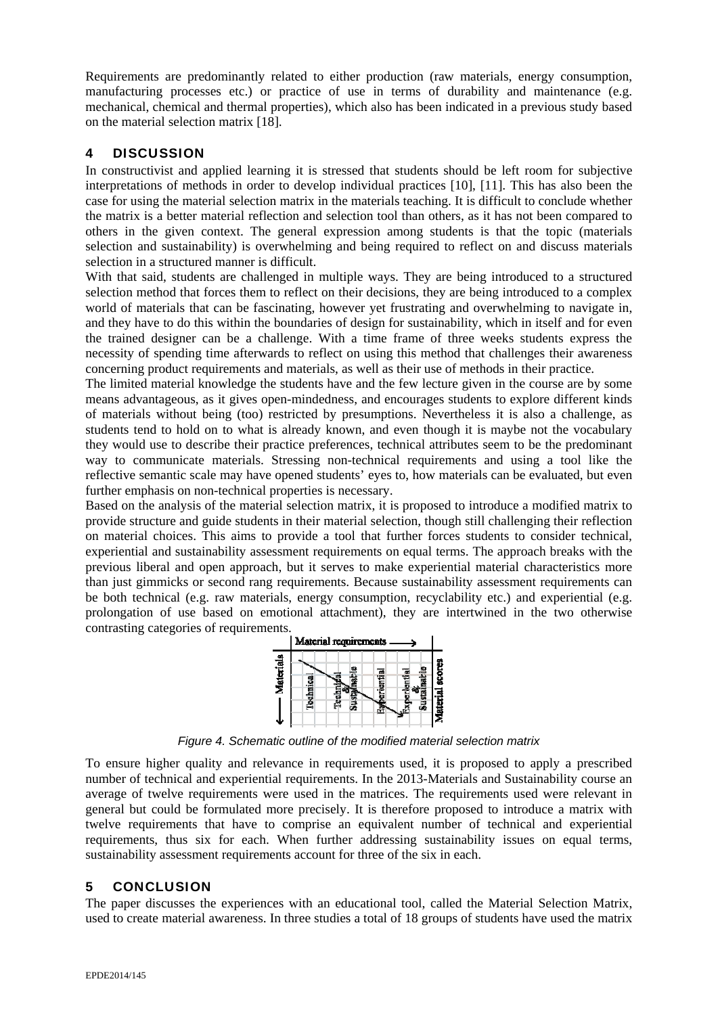Requirements are predominantly related to either production (raw materials, energy consumption, manufacturing processes etc.) or practice of use in terms of durability and maintenance (e.g. mechanical, chemical and thermal properties), which also has been indicated in a previous study based on the material selection matrix [18].

## 4 DISCUSSION

In constructivist and applied learning it is stressed that students should be left room for subjective interpretations of methods in order to develop individual practices [10], [11]. This has also been the case for using the material selection matrix in the materials teaching. It is difficult to conclude whether the matrix is a better material reflection and selection tool than others, as it has not been compared to others in the given context. The general expression among students is that the topic (materials selection and sustainability) is overwhelming and being required to reflect on and discuss materials selection in a structured manner is difficult.

With that said, students are challenged in multiple ways. They are being introduced to a structured selection method that forces them to reflect on their decisions, they are being introduced to a complex world of materials that can be fascinating, however yet frustrating and overwhelming to navigate in, and they have to do this within the boundaries of design for sustainability, which in itself and for even the trained designer can be a challenge. With a time frame of three weeks students express the necessity of spending time afterwards to reflect on using this method that challenges their awareness concerning product requirements and materials, as well as their use of methods in their practice.

The limited material knowledge the students have and the few lecture given in the course are by some means advantageous, as it gives open-mindedness, and encourages students to explore different kinds of materials without being (too) restricted by presumptions. Nevertheless it is also a challenge, as students tend to hold on to what is already known, and even though it is maybe not the vocabulary they would use to describe their practice preferences, technical attributes seem to be the predominant way to communicate materials. Stressing non-technical requirements and using a tool like the reflective semantic scale may have opened students' eyes to, how materials can be evaluated, but even further emphasis on non-technical properties is necessary.

Based on the analysis of the material selection matrix, it is proposed to introduce a modified matrix to provide structure and guide students in their material selection, though still challenging their reflection on material choices. This aims to provide a tool that further forces students to consider technical, experiential and sustainability assessment requirements on equal terms. The approach breaks with the previous liberal and open approach, but it serves to make experiential material characteristics more than just gimmicks or second rang requirements. Because sustainability assessment requirements can be both technical (e.g. raw materials, energy consumption, recyclability etc.) and experiential (e.g. prolongation of use based on emotional attachment), they are intertwined in the two otherwise contrasting categories of requirements.<br> **Material requirements** 



*Figure 4. Schematic outline of the modified material selection matrix* 

To ensure higher quality and relevance in requirements used, it is proposed to apply a prescribed number of technical and experiential requirements. In the 2013-Materials and Sustainability course an average of twelve requirements were used in the matrices. The requirements used were relevant in general but could be formulated more precisely. It is therefore proposed to introduce a matrix with twelve requirements that have to comprise an equivalent number of technical and experiential requirements, thus six for each. When further addressing sustainability issues on equal terms, sustainability assessment requirements account for three of the six in each.

## 5 CONCLUSION

The paper discusses the experiences with an educational tool, called the Material Selection Matrix, used to create material awareness. In three studies a total of 18 groups of students have used the matrix